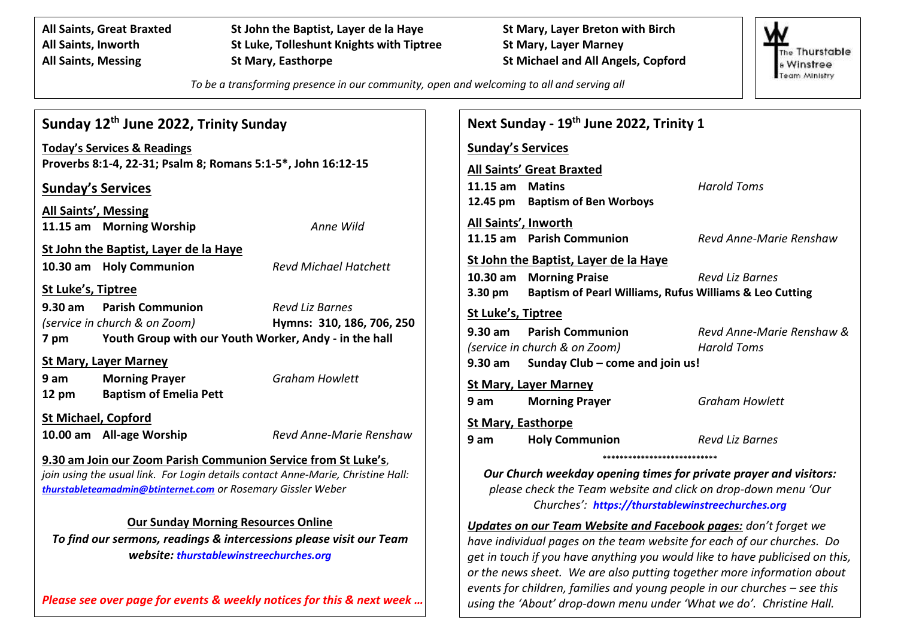**All Saints, Great Braxted St John the Baptist, Layer de la Haye St Mary, Layer Breton with Birch All Saints, Inworth St Luke, Tolleshunt Knights with Tiptree St Mary, Layer Marney All Saints, Messing St Mary, Easthorpe St Michael and All Angels, Copford**

The Thurstable **Winstree** Team Ministry

*To be a transforming presence in our community, open and welcoming to all and serving all*

| Sunday 12 <sup>th</sup> June 2022, Trinity Sunday                                | <b>Next Sunda</b>                                              |                                                                       |                                |
|----------------------------------------------------------------------------------|----------------------------------------------------------------|-----------------------------------------------------------------------|--------------------------------|
| <b>Today's Services &amp; Readings</b>                                           | Sunday's Ser                                                   |                                                                       |                                |
|                                                                                  | Proverbs 8:1-4, 22-31; Psalm 8; Romans 5:1-5*, John 16:12-15   |                                                                       | All Saints' Gr                 |
|                                                                                  | <b>Sunday's Services</b>                                       |                                                                       | 11.15 am M<br>12.45 pm<br>Ba   |
|                                                                                  | All Saints', Messing                                           |                                                                       |                                |
|                                                                                  | 11.15 am Morning Worship                                       | Anne Wild                                                             | All Saints', In<br>11.15 am Pa |
|                                                                                  | St John the Baptist, Layer de la Haye                          |                                                                       |                                |
|                                                                                  | 10.30 am Holy Communion                                        | <b>Revd Michael Hatchett</b>                                          | St John the B<br>M<br>10.30 am |
| <b>St Luke's, Tiptree</b>                                                        |                                                                |                                                                       | 3.30 pm<br>Ba                  |
|                                                                                  | 9.30 am Parish Communion                                       | <b>Revd Liz Barnes</b>                                                | St Luke's, Tip                 |
|                                                                                  | (service in church & on Zoom)                                  | Hymns: 310, 186, 706, 250                                             | $9.30$ am<br>Pa                |
| 7 pm                                                                             |                                                                | Youth Group with our Youth Worker, Andy - in the hall                 | (service in chu                |
|                                                                                  | <b>St Mary, Layer Marney</b>                                   |                                                                       | $9.30$ am<br>S <sub>U</sub>    |
| 9 am                                                                             | <b>Morning Prayer</b>                                          | <b>Graham Howlett</b>                                                 | <b>St Mary, Laye</b>           |
| $12 \text{ pm}$                                                                  | <b>Baptism of Emelia Pett</b>                                  |                                                                       | 9 am<br>M                      |
|                                                                                  | <b>St Michael, Copford</b>                                     |                                                                       | <b>St Mary, East</b>           |
|                                                                                  | 10.00 am All-age Worship                                       | Revd Anne-Marie Renshaw                                               | 9 am<br>H <sub>0</sub>         |
|                                                                                  | 9.30 am Join our Zoom Parish Communion Service from St Luke's, |                                                                       |                                |
| join using the usual link. For Login details contact Anne-Marie, Christine Hall: | <b>Our Churcl</b>                                              |                                                                       |                                |
| thurstableteamadmin@btinternet.com or Rosemary Gissler Weber                     | please che                                                     |                                                                       |                                |
|                                                                                  | <b>Our Sunday Morning Resources Online</b>                     |                                                                       | C                              |
|                                                                                  | Updates on o                                                   |                                                                       |                                |
| To find our sermons, readings & intercessions please visit our Team              | have individud                                                 |                                                                       |                                |
|                                                                                  | get in touch if                                                |                                                                       |                                |
|                                                                                  |                                                                |                                                                       | or the news sl                 |
|                                                                                  |                                                                | Please see over page for events & weekly notices for this & next week | events for chil                |
|                                                                                  | using the 'Abo                                                 |                                                                       |                                |

|                             | Next Sunday - 19 <sup>th</sup> June 2022, Trinity 1               |                           |
|-----------------------------|-------------------------------------------------------------------|---------------------------|
| <u>Sunday's Services</u>    |                                                                   |                           |
|                             | <b>All Saints' Great Braxted</b>                                  |                           |
| 11.15 am Matins             |                                                                   | <b>Harold Toms</b>        |
|                             | 12.45 pm Baptism of Ben Worboys                                   |                           |
| <u>All Saints', Inworth</u> |                                                                   |                           |
|                             | 11.15 am Parish Communion                                         | Revd Anne-Marie Renshaw   |
|                             | <u>St John the Baptist, Layer de la Haye</u>                      |                           |
|                             | 10.30 am Morning Praise                                           | <b>Revd Liz Barnes</b>    |
|                             | 3.30 pm Baptism of Pearl Williams, Rufus Williams & Leo Cutting   |                           |
| <u>St Luke's, Tiptree</u>   |                                                                   |                           |
|                             |                                                                   | Revd Anne-Marie Renshaw & |
|                             | (service in church & on Zoom)                                     | <b>Harold Toms</b>        |
|                             | 9.30 am Sunday Club - come and join us!                           |                           |
|                             | <u>St Mary, Layer Marney</u>                                      |                           |
|                             | 9 am Morning Prayer                                               | <b>Graham Howlett</b>     |
| <b>St Mary, Easthorpe</b>   |                                                                   |                           |
|                             | <b>9 am Holy Communion</b>                                        | <b>Revd Liz Barnes</b>    |
|                             | ************************                                          |                           |
|                             | Our Church weekday opening times for private prayer and visitors: |                           |
|                             | please check the Team website and click on drop-down menu 'Our    |                           |
|                             | Churches': https://thurstablewinstreechurches.org                 |                           |

**ur Team Website and Facebook pages:** don't forget we *have individual pages on the team website for each of our churches. Do get in touch if you have anything you would like to have publicised on this, or the news sheet. We are also putting together more information about events for children, families and young people in our churches – see this using the 'About' drop-down menu under 'What we do'. Christine Hall.*